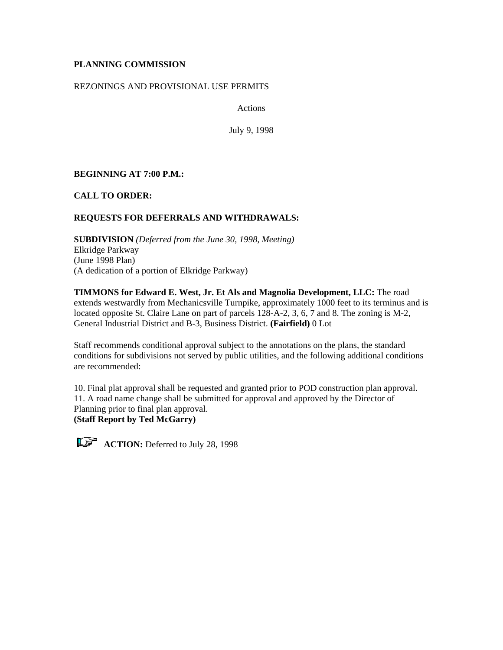# **PLANNING COMMISSION**

## REZONINGS AND PROVISIONAL USE PERMITS

Actions

July 9, 1998

# **BEGINNING AT 7:00 P.M.:**

**CALL TO ORDER:**

# **REQUESTS FOR DEFERRALS AND WITHDRAWALS:**

**SUBDIVISION** *(Deferred from the June 30, 1998, Meeting)* Elkridge Parkway (June 1998 Plan) (A dedication of a portion of Elkridge Parkway)

**TIMMONS for Edward E. West, Jr. Et Als and Magnolia Development, LLC:** The road extends westwardly from Mechanicsville Turnpike, approximately 1000 feet to its terminus and is located opposite St. Claire Lane on part of parcels 128-A-2, 3, 6, 7 and 8. The zoning is M-2, General Industrial District and B-3, Business District. **(Fairfield)** 0 Lot

Staff recommends conditional approval subject to the annotations on the plans, the standard conditions for subdivisions not served by public utilities, and the following additional conditions are recommended:

10. Final plat approval shall be requested and granted prior to POD construction plan approval. 11. A road name change shall be submitted for approval and approved by the Director of Planning prior to final plan approval.

**(Staff Report by Ted McGarry)**

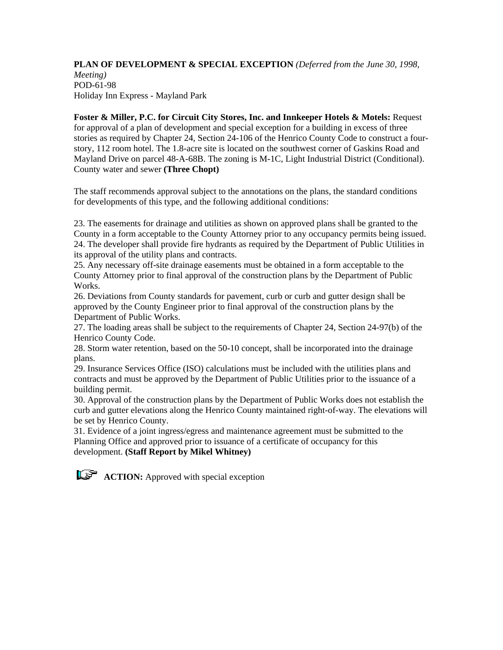## **PLAN OF DEVELOPMENT & SPECIAL EXCEPTION** *(Deferred from the June 30, 1998, Meeting)* POD-61-98 Holiday Inn Express - Mayland Park

**Foster & Miller, P.C. for Circuit City Stores, Inc. and Innkeeper Hotels & Motels:** Request for approval of a plan of development and special exception for a building in excess of three stories as required by Chapter 24, Section 24-106 of the Henrico County Code to construct a fourstory, 112 room hotel. The 1.8-acre site is located on the southwest corner of Gaskins Road and Mayland Drive on parcel 48-A-68B. The zoning is M-1C, Light Industrial District (Conditional). County water and sewer **(Three Chopt)**

The staff recommends approval subject to the annotations on the plans, the standard conditions for developments of this type, and the following additional conditions:

23. The easements for drainage and utilities as shown on approved plans shall be granted to the County in a form acceptable to the County Attorney prior to any occupancy permits being issued. 24. The developer shall provide fire hydrants as required by the Department of Public Utilities in its approval of the utility plans and contracts.

25. Any necessary off-site drainage easements must be obtained in a form acceptable to the County Attorney prior to final approval of the construction plans by the Department of Public Works.

26. Deviations from County standards for pavement, curb or curb and gutter design shall be approved by the County Engineer prior to final approval of the construction plans by the Department of Public Works.

27. The loading areas shall be subject to the requirements of Chapter 24, Section 24-97(b) of the Henrico County Code.

28. Storm water retention, based on the 50-10 concept, shall be incorporated into the drainage plans.

29. Insurance Services Office (ISO) calculations must be included with the utilities plans and contracts and must be approved by the Department of Public Utilities prior to the issuance of a building permit.

30. Approval of the construction plans by the Department of Public Works does not establish the curb and gutter elevations along the Henrico County maintained right-of-way. The elevations will be set by Henrico County.

31. Evidence of a joint ingress/egress and maintenance agreement must be submitted to the Planning Office and approved prior to issuance of a certificate of occupancy for this development. **(Staff Report by Mikel Whitney)**

**ACTION:** Approved with special exception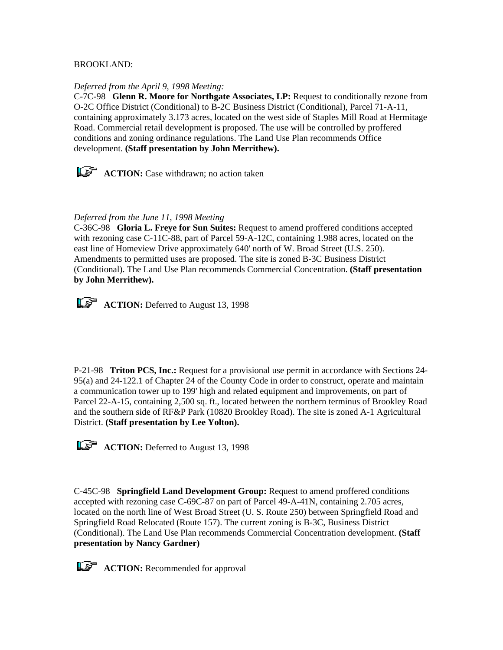## BROOKLAND:

### *Deferred from the April 9, 1998 Meeting:*

C-7C-98 **Glenn R. Moore for Northgate Associates, LP:** Request to conditionally rezone from O-2C Office District (Conditional) to B-2C Business District (Conditional), Parcel 71-A-11, containing approximately 3.173 acres, located on the west side of Staples Mill Road at Hermitage Road. Commercial retail development is proposed. The use will be controlled by proffered conditions and zoning ordinance regulations. The Land Use Plan recommends Office development. **(Staff presentation by John Merrithew).**

**ACTION:** Case withdrawn; no action taken

## *Deferred from the June 11, 1998 Meeting*

C-36C-98 **Gloria L. Freye for Sun Suites:** Request to amend proffered conditions accepted with rezoning case C-11C-88, part of Parcel 59-A-12C, containing 1.988 acres, located on the east line of Homeview Drive approximately 640' north of W. Broad Street (U.S. 250). Amendments to permitted uses are proposed. The site is zoned B-3C Business District (Conditional). The Land Use Plan recommends Commercial Concentration. **(Staff presentation by John Merrithew).**

**ACTION:** Deferred to August 13, 1998

P-21-98 **Triton PCS, Inc.:** Request for a provisional use permit in accordance with Sections 24- 95(a) and 24-122.1 of Chapter 24 of the County Code in order to construct, operate and maintain a communication tower up to 199' high and related equipment and improvements, on part of Parcel 22-A-15, containing 2,500 sq. ft., located between the northern terminus of Brookley Road and the southern side of RF&P Park (10820 Brookley Road). The site is zoned A-1 Agricultural District. **(Staff presentation by Lee Yolton).**



**ACTION:** Deferred to August 13, 1998

C-45C-98 **Springfield Land Development Group:** Request to amend proffered conditions accepted with rezoning case C-69C-87 on part of Parcel 49-A-41N, containing 2.705 acres, located on the north line of West Broad Street (U. S. Route 250) between Springfield Road and Springfield Road Relocated (Route 157). The current zoning is B-3C, Business District (Conditional). The Land Use Plan recommends Commercial Concentration development. **(Staff presentation by Nancy Gardner)**

**ACTION:** Recommended for approval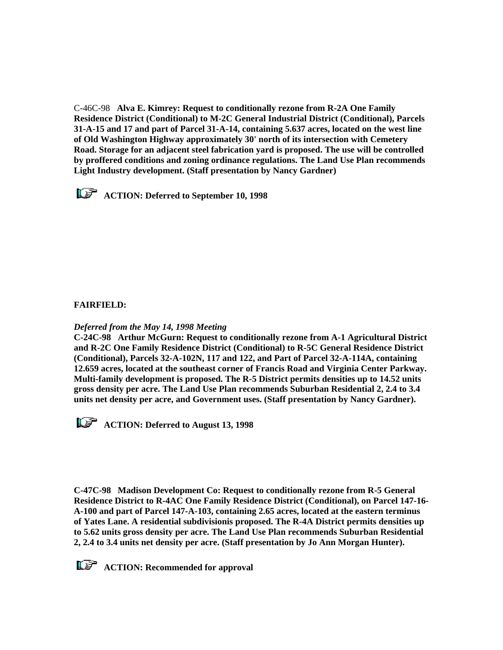C-46C-98 **Alva E. Kimrey: Request to conditionally rezone from R-2A One Family Residence District (Conditional) to M-2C General Industrial District (Conditional), Parcels 31-A-15 and 17 and part of Parcel 31-A-14, containing 5.637 acres, located on the west line of Old Washington Highway approximately 30' north of its intersection with Cemetery Road. Storage for an adjacent steel fabrication yard is proposed. The use will be controlled by proffered conditions and zoning ordinance regulations. The Land Use Plan recommends Light Industry development. (Staff presentation by Nancy Gardner)**

 **ACTION: Deferred to September 10, 1998**

# **FAIRFIELD:**

## *Deferred from the May 14, 1998 Meeting*

**C-24C-98 Arthur McGurn: Request to conditionally rezone from A-1 Agricultural District and R-2C One Family Residence District (Conditional) to R-5C General Residence District (Conditional), Parcels 32-A-102N, 117 and 122, and Part of Parcel 32-A-114A, containing 12.659 acres, located at the southeast corner of Francis Road and Virginia Center Parkway. Multi-family development is proposed. The R-5 District permits densities up to 14.52 units gross density per acre. The Land Use Plan recommends Suburban Residential 2, 2.4 to 3.4 units net density per acre, and Government uses. (Staff presentation by Nancy Gardner).** 

*ACTION: Deferred to August 13, 1998* 

**C-47C-98 Madison Development Co: Request to conditionally rezone from R-5 General Residence District to R-4AC One Family Residence District (Conditional), on Parcel 147-16- A-100 and part of Parcel 147-A-103, containing 2.65 acres, located at the eastern terminus of Yates Lane. A residential subdivisionis proposed. The R-4A District permits densities up to 5.62 units gross density per acre. The Land Use Plan recommends Suburban Residential 2, 2.4 to 3.4 units net density per acre. (Staff presentation by Jo Ann Morgan Hunter).**

**ACTION:** Recommended for approval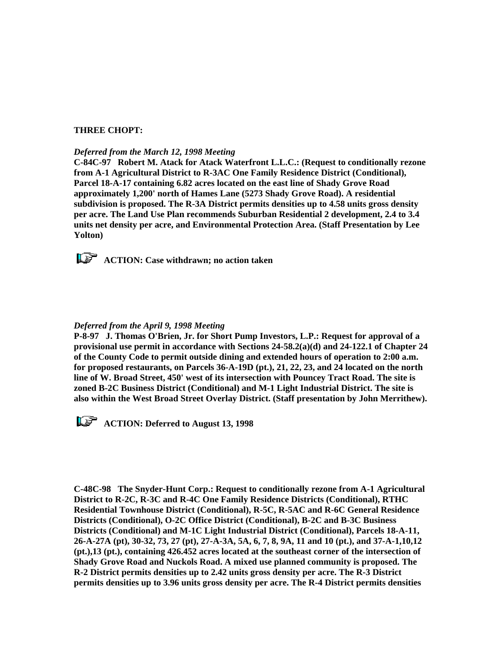### **THREE CHOPT:**

#### *Deferred from the March 12, 1998 Meeting*

**C-84C-97 Robert M. Atack for Atack Waterfront L.L.C.: (Request to conditionally rezone from A-1 Agricultural District to R-3AC One Family Residence District (Conditional), Parcel 18-A-17 containing 6.82 acres located on the east line of Shady Grove Road approximately 1,200' north of Hames Lane (5273 Shady Grove Road). A residential subdivision is proposed. The R-3A District permits densities up to 4.58 units gross density per acre. The Land Use Plan recommends Suburban Residential 2 development, 2.4 to 3.4 units net density per acre, and Environmental Protection Area. (Staff Presentation by Lee Yolton)**

*ACTION: Case withdrawn; no action taken* 

### *Deferred from the April 9, 1998 Meeting*

**P-8-97 J. Thomas O'Brien, Jr. for Short Pump Investors, L.P.: Request for approval of a provisional use permit in accordance with Sections 24-58.2(a)(d) and 24-122.1 of Chapter 24 of the County Code to permit outside dining and extended hours of operation to 2:00 a.m. for proposed restaurants, on Parcels 36-A-19D (pt.), 21, 22, 23, and 24 located on the north line of W. Broad Street, 450' west of its intersection with Pouncey Tract Road. The site is zoned B-2C Business District (Conditional) and M-1 Light Industrial District. The site is also within the West Broad Street Overlay District. (Staff presentation by John Merrithew).**

*ACTION: Deferred to August 13, 1998* 

**C-48C-98 The Snyder-Hunt Corp.: Request to conditionally rezone from A-1 Agricultural District to R-2C, R-3C and R-4C One Family Residence Districts (Conditional), RTHC Residential Townhouse District (Conditional), R-5C, R-5AC and R-6C General Residence Districts (Conditional), O-2C Office District (Conditional), B-2C and B-3C Business Districts (Conditional) and M-1C Light Industrial District (Conditional), Parcels 18-A-11, 26-A-27A (pt), 30-32, 73, 27 (pt), 27-A-3A, 5A, 6, 7, 8, 9A, 11 and 10 (pt.), and 37-A-1,10,12 (pt.),13 (pt.), containing 426.452 acres located at the southeast corner of the intersection of Shady Grove Road and Nuckols Road. A mixed use planned community is proposed. The R-2 District permits densities up to 2.42 units gross density per acre. The R-3 District permits densities up to 3.96 units gross density per acre. The R-4 District permits densities**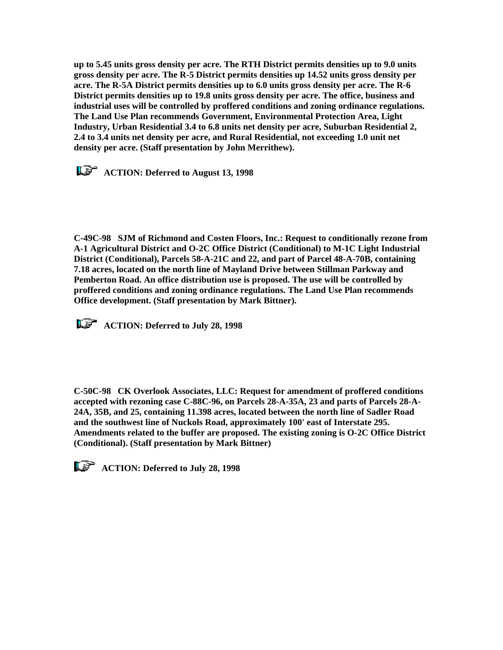**up to 5.45 units gross density per acre. The RTH District permits densities up to 9.0 units gross density per acre. The R-5 District permits densities up 14.52 units gross density per acre. The R-5A District permits densities up to 6.0 units gross density per acre. The R-6 District permits densities up to 19.8 units gross density per acre. The office, business and industrial uses will be controlled by proffered conditions and zoning ordinance regulations. The Land Use Plan recommends Government, Environmental Protection Area, Light Industry, Urban Residential 3.4 to 6.8 units net density per acre, Suburban Residential 2, 2.4 to 3.4 units net density per acre, and Rural Residential, not exceeding 1.0 unit net density per acre. (Staff presentation by John Merrithew).**

 **ACTION: Deferred to August 13, 1998**

**C-49C-98 SJM of Richmond and Costen Floors, Inc.: Request to conditionally rezone from A-1 Agricultural District and O-2C Office District (Conditional) to M-1C Light Industrial District (Conditional), Parcels 58-A-21C and 22, and part of Parcel 48-A-70B, containing 7.18 acres, located on the north line of Mayland Drive between Stillman Parkway and Pemberton Road. An office distribution use is proposed. The use will be controlled by proffered conditions and zoning ordinance regulations. The Land Use Plan recommends Office development. (Staff presentation by Mark Bittner).**

**ACTION: Deferred to July 28, 1998** 

**C-50C-98 CK Overlook Associates, LLC: Request for amendment of proffered conditions accepted with rezoning case C-88C-96, on Parcels 28-A-35A, 23 and parts of Parcels 28-A-24A, 35B, and 25, containing 11.398 acres, located between the north line of Sadler Road and the southwest line of Nuckols Road, approximately 100' east of Interstate 295. Amendments related to the buffer are proposed. The existing zoning is O-2C Office District (Conditional). (Staff presentation by Mark Bittner)**

**ACTION: Deferred to July 28, 1998**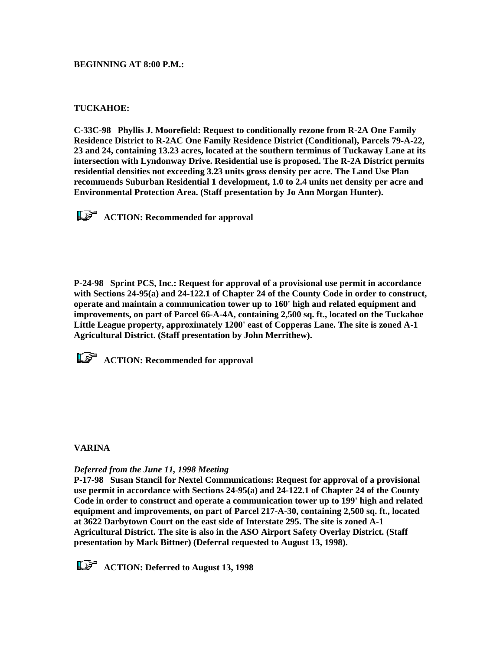**BEGINNING AT 8:00 P.M.:**

## **TUCKAHOE:**

**C-33C-98 Phyllis J. Moorefield: Request to conditionally rezone from R-2A One Family Residence District to R-2AC One Family Residence District (Conditional), Parcels 79-A-22, 23 and 24, containing 13.23 acres, located at the southern terminus of Tuckaway Lane at its intersection with Lyndonway Drive. Residential use is proposed. The R-2A District permits residential densities not exceeding 3.23 units gross density per acre. The Land Use Plan recommends Suburban Residential 1 development, 1.0 to 2.4 units net density per acre and Environmental Protection Area. (Staff presentation by Jo Ann Morgan Hunter).**

*ACTION:* **Recommended for approval** 

**P-24-98 Sprint PCS, Inc.: Request for approval of a provisional use permit in accordance with Sections 24-95(a) and 24-122.1 of Chapter 24 of the County Code in order to construct, operate and maintain a communication tower up to 160' high and related equipment and improvements, on part of Parcel 66-A-4A, containing 2,500 sq. ft., located on the Tuckahoe Little League property, approximately 1200' east of Copperas Lane. The site is zoned A-1 Agricultural District. (Staff presentation by John Merrithew).**

*ACTION: Recommended for approval* 

## **VARINA**

### *Deferred from the June 11, 1998 Meeting*

**P-17-98 Susan Stancil for Nextel Communications: Request for approval of a provisional use permit in accordance with Sections 24-95(a) and 24-122.1 of Chapter 24 of the County Code in order to construct and operate a communication tower up to 199' high and related equipment and improvements, on part of Parcel 217-A-30, containing 2,500 sq. ft., located at 3622 Darbytown Court on the east side of Interstate 295. The site is zoned A-1 Agricultural District. The site is also in the ASO Airport Safety Overlay District. (Staff presentation by Mark Bittner) (Deferral requested to August 13, 1998).** 

**ACTION: Deferred to August 13, 1998**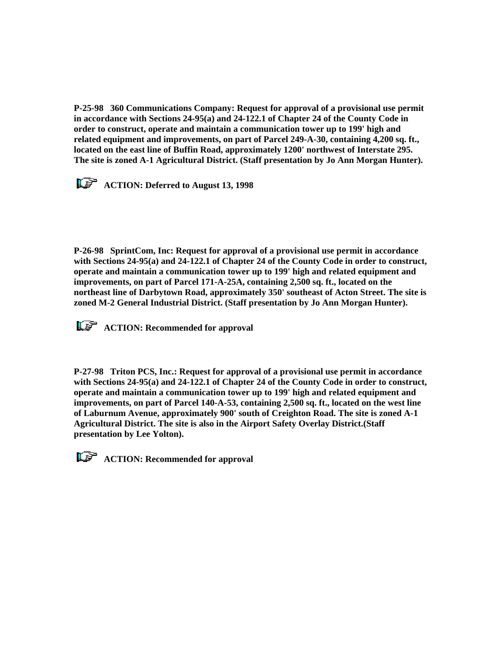**P-25-98 360 Communications Company: Request for approval of a provisional use permit in accordance with Sections 24-95(a) and 24-122.1 of Chapter 24 of the County Code in order to construct, operate and maintain a communication tower up to 199' high and related equipment and improvements, on part of Parcel 249-A-30, containing 4,200 sq. ft., located on the east line of Buffin Road, approximately 1200' northwest of Interstate 295. The site is zoned A-1 Agricultural District. (Staff presentation by Jo Ann Morgan Hunter).**

*ACTION: Deferred to August 13, 1998* 

**P-26-98 SprintCom, Inc: Request for approval of a provisional use permit in accordance with Sections 24-95(a) and 24-122.1 of Chapter 24 of the County Code in order to construct, operate and maintain a communication tower up to 199' high and related equipment and improvements, on part of Parcel 171-A-25A, containing 2,500 sq. ft., located on the northeast line of Darbytown Road, approximately 350' southeast of Acton Street. The site is zoned M-2 General Industrial District. (Staff presentation by Jo Ann Morgan Hunter).**

*KS* ACTION: Recommended for approval

**P-27-98 Triton PCS, Inc.: Request for approval of a provisional use permit in accordance with Sections 24-95(a) and 24-122.1 of Chapter 24 of the County Code in order to construct, operate and maintain a communication tower up to 199' high and related equipment and improvements, on part of Parcel 140-A-53, containing 2,500 sq. ft., located on the west line of Laburnum Avenue, approximately 900' south of Creighton Road. The site is zoned A-1 Agricultural District. The site is also in the Airport Safety Overlay District.(Staff presentation by Lee Yolton).**

*ACTION: Recommended for approval*